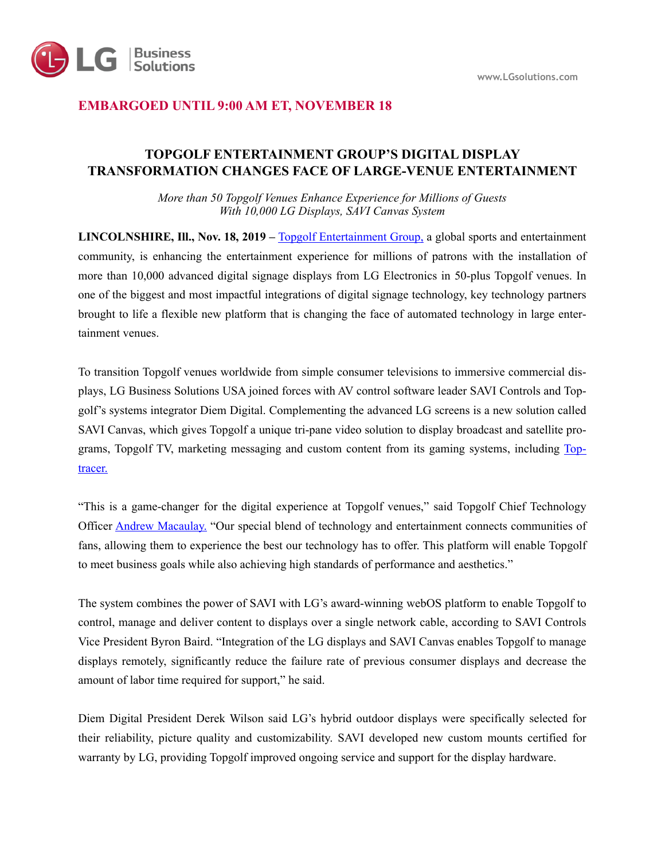

# **EMBARGOED UNTIL 9:00 AM ET, NOVEMBER 18**

# **TOPGOLF ENTERTAINMENT GROUP'S DIGITAL DISPLAY TRANSFORMATION CHANGES FACE OF LARGE-VENUE ENTERTAINMENT**

*More than 50 Topgolf Venues Enhance Experience for Millions of Guests With 10,000 LG Displays, SAVI Canvas System* 

**LINCOLNSHIRE, Ill., Nov. 18, 2019 –** [Topgolf Entertainment Group,](https://c212.net/c/link/?t=0&l=en&o=2595534-1&h=904112462&u=https%253A%252F%252Ftopgolf.com%252Fus%252F&a=Topgolf+Entertainment+Group) a global sports and entertainment community, is enhancing the entertainment experience for millions of patrons with the installation of more than 10,000 advanced digital signage displays from LG Electronics in 50-plus Topgolf venues. In one of the biggest and most impactful integrations of digital signage technology, key technology partners brought to life a flexible new platform that is changing the face of automated technology in large entertainment venues.

To transition Topgolf venues worldwide from simple consumer televisions to immersive commercial displays, LG Business Solutions USA joined forces with AV control software leader SAVI Controls and Topgolf's systems integrator Diem Digital. Complementing the advanced LG screens is a new solution called SAVI Canvas, which gives Topgolf a unique tri-pane video solution to display broadcast and satellite programs, Topgolf TV, marketing messaging and custom content from its gaming systems, including [Top](https://www.toptracer.com/)[tracer.](https://www.toptracer.com/)

"This is a game-changer for the digital experience at Topgolf venues," said Topgolf Chief Technology Officer [Andrew Macaulay.](http://press.topgolf.com/andrew-macaulay) "Our special blend of technology and entertainment connects communities of fans, allowing them to experience the best our technology has to offer. This platform will enable Topgolf to meet business goals while also achieving high standards of performance and aesthetics."

The system combines the power of SAVI with LG's award-winning webOS platform to enable Topgolf to control, manage and deliver content to displays over a single network cable, according to SAVI Controls Vice President Byron Baird. "Integration of the LG displays and SAVI Canvas enables Topgolf to manage displays remotely, significantly reduce the failure rate of previous consumer displays and decrease the amount of labor time required for support," he said.

Diem Digital President Derek Wilson said LG's hybrid outdoor displays were specifically selected for their reliability, picture quality and customizability. SAVI developed new custom mounts certified for warranty by LG, providing Topgolf improved ongoing service and support for the display hardware.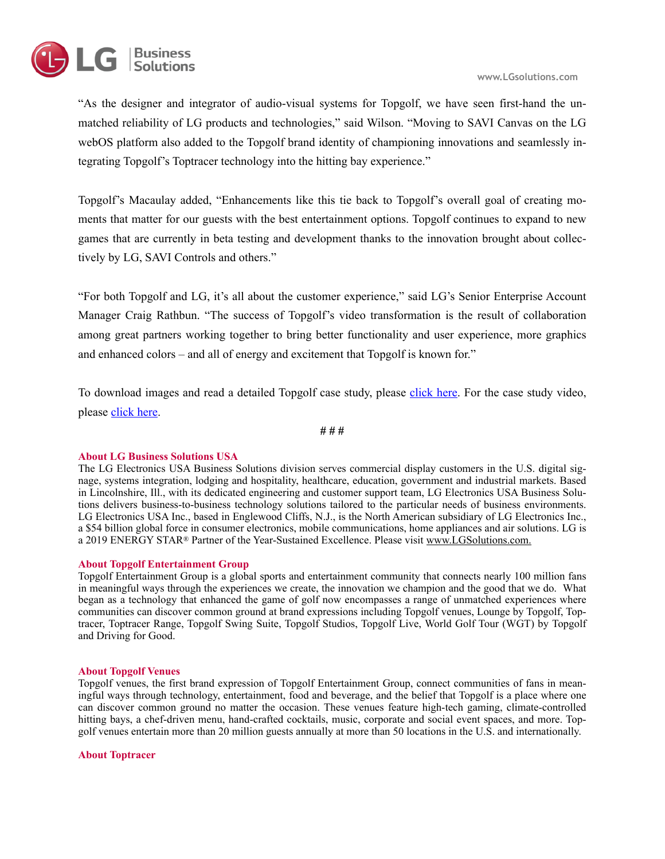



"As the designer and integrator of audio-visual systems for Topgolf, we have seen first-hand the unmatched reliability of LG products and technologies," said Wilson. "Moving to SAVI Canvas on the LG webOS platform also added to the Topgolf brand identity of championing innovations and seamlessly integrating Topgolf's Toptracer technology into the hitting bay experience."

Topgolf's Macaulay added, "Enhancements like this tie back to Topgolf's overall goal of creating moments that matter for our guests with the best entertainment options. Topgolf continues to expand to new games that are currently in beta testing and development thanks to the innovation brought about collectively by LG, SAVI Controls and others."

"For both Topgolf and LG, it's all about the customer experience," said LG's Senior Enterprise Account Manager Craig Rathbun. "The success of Topgolf's video transformation is the result of collaboration among great partners working together to bring better functionality and user experience, more graphics and enhanced colors – and all of energy and excitement that Topgolf is known for."

To download images and read a detailed Topgolf case study, please [click here](https://drive.google.com/drive/folders/1-TJbXz1FAisyvZX-ufdfU_Was52dYNq7?usp=sharing). For the case study video, please [click here](https://youtu.be/MUO-8olwk6M).

**# # #** 

## **About LG Business Solutions USA**

The LG Electronics USA Business Solutions division serves commercial display customers in the U.S. digital signage, systems integration, lodging and hospitality, healthcare, education, government and industrial markets. Based in Lincolnshire, Ill., with its dedicated engineering and customer support team, LG Electronics USA Business Solutions delivers business-to-business technology solutions tailored to the particular needs of business environments. LG Electronics USA Inc., based in Englewood Cliffs, N.J., is the North American subsidiary of LG Electronics Inc., a \$54 billion global force in consumer electronics, mobile communications, home appliances and air solutions. LG is a 2019 ENERGY STAR® Partner of the Year-Sustained Excellence. Please visit [www.LGSolutions.com.](http://www.lgsolutions.com/)

## **About Topgolf Entertainment Group**

Topgolf Entertainment Group is a global sports and entertainment community that connects nearly 100 million fans in meaningful ways through the experiences we create, the innovation we champion and the good that we do. What began as a technology that enhanced the game of golf now encompasses a range of unmatched experiences where communities can discover common ground at brand expressions including Topgolf venues, Lounge by Topgolf, Toptracer, Toptracer Range, Topgolf Swing Suite, Topgolf Studios, Topgolf Live, World Golf Tour (WGT) by Topgolf and Driving for Good.

### **About Topgolf Venues**

Topgolf venues, the first brand expression of Topgolf Entertainment Group, connect communities of fans in meaningful ways through technology, entertainment, food and beverage, and the belief that Topgolf is a place where one can discover common ground no matter the occasion. These venues feature high-tech gaming, climate-controlled hitting bays, a chef-driven menu, hand-crafted cocktails, music, corporate and social event spaces, and more. Topgolf venues entertain more than 20 million guests annually at more than 50 locations in the U.S. and internationally.

#### **About Toptracer**